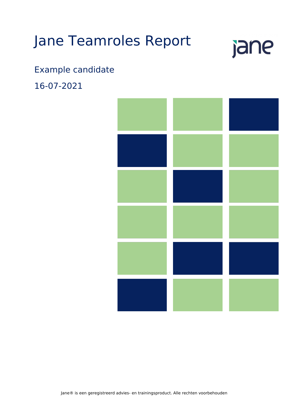## Jane Teamroles Report

# jane

## Example candidate

16-07-2021

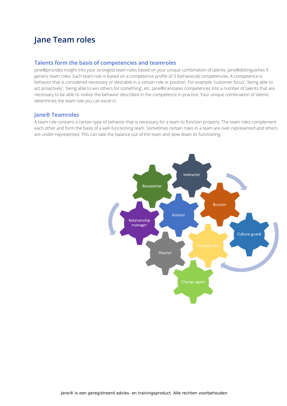## **Jane Team roles**

#### **Talents form the basis of competencies and teamroles**

Jane®provides insight into your strongest team roles based on your unique combination of talents. Jane®distinguishes 9 generic team roles. Each team role is based on a competence profile of 3 (behavioral) competencies. A competence is behavior that is considered necessary or desirable in a certain role or position. For example 'customer focus', 'being able to act proactively', 'being able to win others for something', etc. Jane®translates competences into a number of talents that are necessary to be able to realize the behavior described in the competence in practice. Your unique combination of talents determines the team role you can excel in.

#### **Jane® Teamroles**

A team role contains a certain type of behavior that is necessary for a team to function properly. The team roles complement each other and form the basis of a well-functioning team. Sometimes certain roles in a team are over-represented and others are under-represented. This can take the balance out of the team and slow down its functioning.

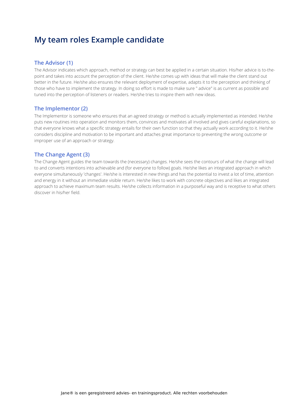## **My team roles Example candidate**

#### **The Advisor (1)**

The Advisor indicates which approach, method or strategy can best be applied in a certain situation. His/her advice is to-thepoint and takes into account the perception of the client. He/she comes up with ideas that will make the client stand out better in the future. He/she also ensures the relevant deployment of expertise, adapts it to the perception and thinking of those who have to implement the strategy. In doing so effort is made to make sure " advice" is as current as possible and tuned into the perception of listeners or readers. He/she tries to inspire them with new ideas.

#### **The Implementor (2)**

The Implementor is someone who ensures that an agreed strategy or method is actually implemented as intended. He/she puts new routines into operation and monitors them, convinces and motivates all involved and gives careful explanations, so that everyone knows what a specific strategy entails for their own function so that they actually work according to it. He/she considers discipline and motivation to be important and attaches great importance to preventing the wrong outcome or improper use of an approach or strategy.

#### **The Change Agent (3)**

The Change Agent guides the team towards the (necessary) changes. He/she sees the contours of what the change will lead to and converts intentions into achievable and (for everyone to follow) goals. He/she likes an integrated approach in which everyone simultaneously 'changes'. He/she is interested in new things and has the potential to invest a lot of time, attention and energy in it without an immediate visible return. He/she likes to work with concrete objectives and likes an integrated approach to achieve maximum team results. He/she collects information in a purposeful way and is receptive to what others discover in his/her field.